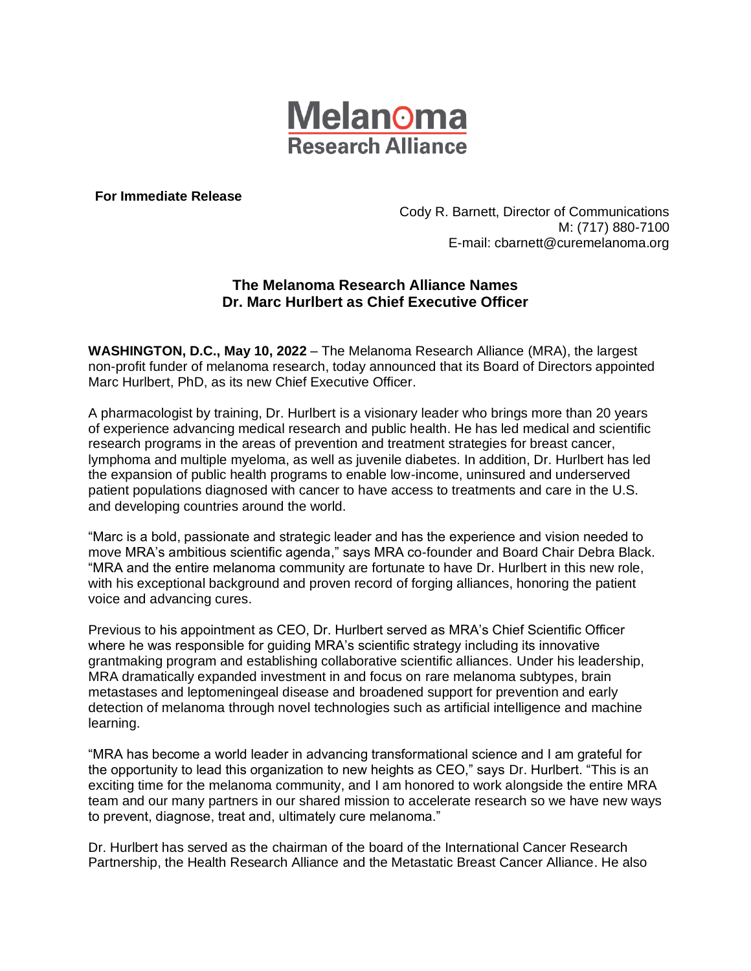

**For Immediate Release**

Cody R. Barnett, Director of Communications M: (717) 880-7100 E-mail: cbarnett@curemelanoma.org

## **The Melanoma Research Alliance Names Dr. Marc Hurlbert as Chief Executive Officer**

**WASHINGTON, D.C., May 10, 2022** – The Melanoma Research Alliance (MRA), the largest non-profit funder of melanoma research, today announced that its Board of Directors appointed Marc Hurlbert, PhD, as its new Chief Executive Officer.

A pharmacologist by training, Dr. Hurlbert is a visionary leader who brings more than 20 years of experience advancing medical research and public health. He has led medical and scientific research programs in the areas of prevention and treatment strategies for breast cancer, lymphoma and multiple myeloma, as well as juvenile diabetes. In addition, Dr. Hurlbert has led the expansion of public health programs to enable low-income, uninsured and underserved patient populations diagnosed with cancer to have access to treatments and care in the U.S. and developing countries around the world.

"Marc is a bold, passionate and strategic leader and has the experience and vision needed to move MRA's ambitious scientific agenda," says MRA co-founder and Board Chair Debra Black. "MRA and the entire melanoma community are fortunate to have Dr. Hurlbert in this new role, with his exceptional background and proven record of forging alliances, honoring the patient voice and advancing cures.

Previous to his appointment as CEO, Dr. Hurlbert served as MRA's Chief Scientific Officer where he was responsible for guiding MRA's scientific strategy including its innovative grantmaking program and establishing collaborative scientific alliances. Under his leadership, MRA dramatically expanded investment in and focus on rare melanoma subtypes, brain metastases and leptomeningeal disease and broadened support for prevention and early detection of melanoma through novel technologies such as artificial intelligence and machine learning.

"MRA has become a world leader in advancing transformational science and I am grateful for the opportunity to lead this organization to new heights as CEO," says Dr. Hurlbert. "This is an exciting time for the melanoma community, and I am honored to work alongside the entire MRA team and our many partners in our shared mission to accelerate research so we have new ways to prevent, diagnose, treat and, ultimately cure melanoma."

Dr. Hurlbert has served as the chairman of the board of the International Cancer Research Partnership, the Health Research Alliance and the Metastatic Breast Cancer Alliance. He also